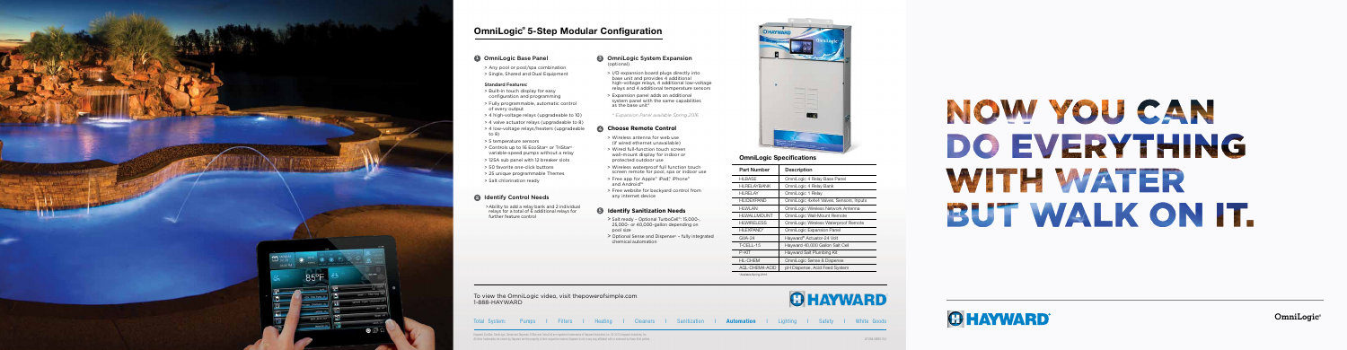

### **OmniLogic Base Panel**

- 
- 

Total System: Pumps I Filters I Heating I Cleaners I Sanitization I Automation I Lighting I Safety I White Goods

To view the OmniLogic video, visit thepowerofsimple.com 1-888-HAYWARD

# OmniLogic® 5-Step Modular Configuration

> Any pool or pool/spa combination > Single, Shared and Dual Equipment

### Standard Features:

- > Built-in touch display for easy configuration and programming > Fully programmable, automatic control of every output
- 
- 
- 
- to 8)
- > 5 temperature sensors
- 
- 
- 
- 
- > Salt chlorination ready
- > 4 high-voltage relays (upgradeable to 10) > 4 valve actuator relays (upgradeable to 8)
- > 4 low-voltage relays/heaters (upgradeable
	-
- > Controls up to 16 EcoStar ® or TriStar ® variable-speed pumps without a relay > 125A sub panel with 12 breaker slots
- > 50 favorite one-click buttons
- > 25 unique programmable Themes
	-

>Ability to add a relay bank and 2 individual relays for a total of 6 additional relays for further feature control

# 2 Identify Control Needs **12**

### **8** OmniLogic System Expansion (optional)

# NOW YOU CAN DO EVERY FRING WHE WATER BUT WALK ON IT.



## OmniLogic Specifications

| <b>Part Number</b>            | Description                             |
|-------------------------------|-----------------------------------------|
| <b>HLBASE</b>                 | OmniLogic 4 Relay Base Panel            |
| <b>HLRELAYBANK</b>            | OmniLogic 4 Relay Bank                  |
| HI RFI AY                     | OmniLogic 1 Relay                       |
| <b>HLIOEXPAND</b>             | OmniLogic 4x4x4 Valves, Sensors, Inputs |
| <b>HLWLAN</b>                 | OmniLogic Wireless Network Antenna      |
| <b>HLWALLMOUNT</b>            | OmniLogic Wall-Mount Remote             |
| <b>HLWIRELESS</b>             | OmniLogic Wireless Waterproof Remote    |
| <b>HLEXPAND*</b>              | OmniLogic Expansion Panel               |
| $GVA-24$                      | Hayward® Actuator-24 Volt               |
| T-CELL-15                     | Hayward 40,000 Gallon Salt Cell         |
| P-KIT                         | Hayward Salt Plumbing Kit               |
| <b>HL-CHEM</b>                | OmniLogic Sense & Dispense              |
| <b>AQL-CHEM4-ACID</b>         | pH Dispense, Acid Feed System           |
| $-1$ $-1$ $-1$ $-1$ $-2$ $-1$ |                                         |

- > I/O expansion board plugs directly into base unit and provides 4 additional high-voltage relays, 4 additional low-voltage relays and 4 additional temperature sensors
- > Expansion panel adds an additional system panel with the same capabilities as the base unit\*

# **345 Choose Remote Control**

### *\* Expansion Panel available Spring 2016*

- > Wireless antenna for web use (if wired ethernet unavailable)
- > Wired full-function touch screen wall-mount display for indoor or protected outdoor use
- > Wireless waterproof full function touch screen remote for pool, spa or indoor use
- > Free app for Apple® iPad,® iPhone® and Android™
- > Free website for backyard control from any internet device

## **6** Identify Sanitization Needs

- > Salt ready Optional TurboCell®: 15,000-, 25,000- or 40,000-gallon depending on pool size
- > Optional Sense and Dispense ® fully integrated chemical automation



**OmniLogic®**

\*Available Spring 2016